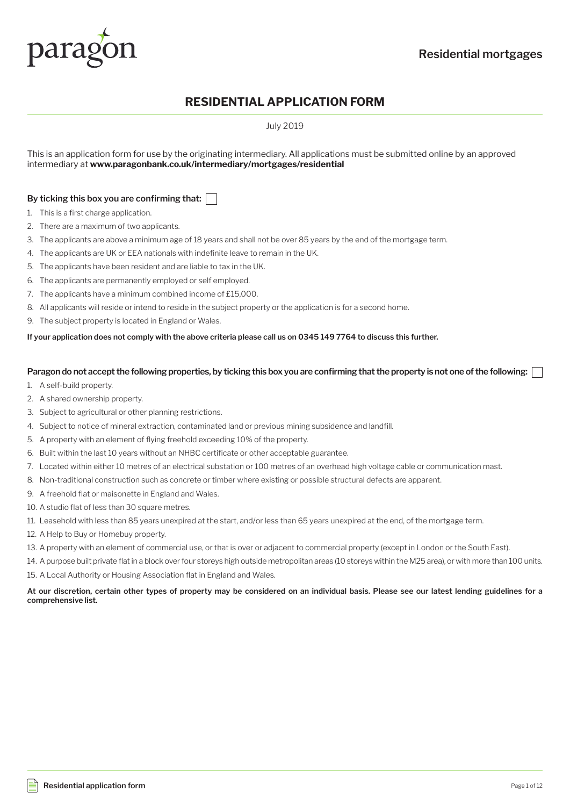

## **RESIDENTIAL APPLICATION FORM**

July 2019

This is an application form for use by the originating intermediary. All applications must be submitted online by an approved intermediary at **www.paragonbank.co.uk/intermediary/mortgages/residential**

#### **By ticking this box you are confirming that:**

- 1. This is a first charge application.
- 2. There are a maximum of two applicants.
- 3. The applicants are above a minimum age of 18 years and shall not be over 85 years by the end of the mortgage term.
- 4. The applicants are UK or EEA nationals with indefinite leave to remain in the UK.
- 5. The applicants have been resident and are liable to tax in the UK.
- 6. The applicants are permanently employed or self employed.
- 7. The applicants have a minimum combined income of £15,000.
- 8. All applicants will reside or intend to reside in the subject property or the application is for a second home.
- 9. The subject property is located in England or Wales.

#### **If your application does not comply with the above criteria please call us on 0345 149 7764 to discuss this further.**

#### **Paragon do not accept the following properties, by ticking this box you are confirming that the property is not one of the following:**

- 1. A self-build property.
- 2. A shared ownership property.
- 3. Subject to agricultural or other planning restrictions.
- 4. Subject to notice of mineral extraction, contaminated land or previous mining subsidence and landfill.
- 5. A property with an element of flying freehold exceeding 10% of the property.
- 6. Built within the last 10 years without an NHBC certificate or other acceptable guarantee.
- 7. Located within either 10 metres of an electrical substation or 100 metres of an overhead high voltage cable or communication mast.
- 8. Non-traditional construction such as concrete or timber where existing or possible structural defects are apparent.
- 9. A freehold flat or maisonette in England and Wales.
- 10. A studio flat of less than 30 square metres.
- 11. Leasehold with less than 85 years unexpired at the start, and/or less than 65 years unexpired at the end, of the mortgage term.
- 12. A Help to Buy or Homebuy property.
- 13. A property with an element of commercial use, or that is over or adjacent to commercial property (except in London or the South East).
- 14. A purpose built private flat in a block over four storeys high outside metropolitan areas (10 storeys within the M25 area), or with more than 100 units. 15. A Local Authority or Housing Association flat in England and Wales.
- **At our discretion, certain other types of property may be considered on an individual basis. Please see our latest lending guidelines for a comprehensive list.**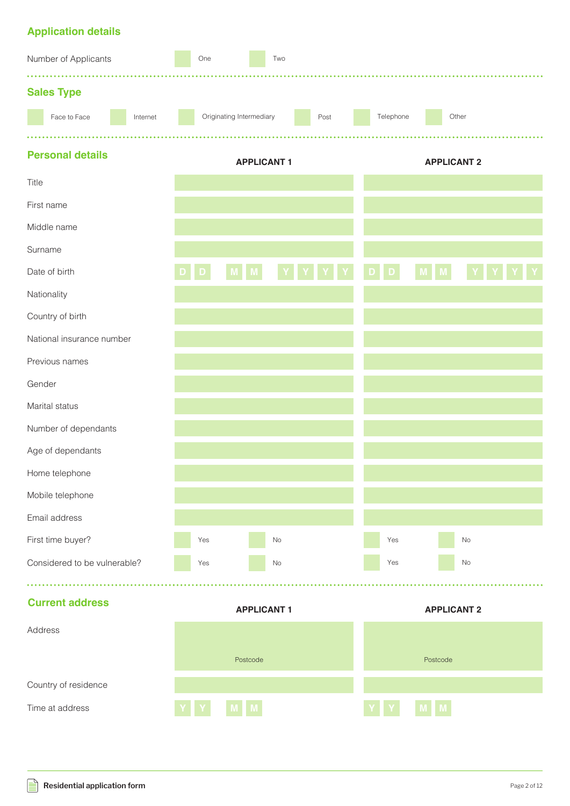## **Application details**

| Number of Applicants   |                              |          |                                  | One |  |             | Two               |       |  |                    |  |              |                    |  |  |
|------------------------|------------------------------|----------|----------------------------------|-----|--|-------------|-------------------|-------|--|--------------------|--|--------------|--------------------|--|--|
|                        | <b>Sales Type</b>            |          |                                  |     |  |             |                   |       |  |                    |  |              |                    |  |  |
|                        | Face to Face                 | Internet | Originating Intermediary<br>Post |     |  | Telephone   |                   | Other |  |                    |  |              |                    |  |  |
|                        |                              |          |                                  |     |  |             |                   |       |  |                    |  |              |                    |  |  |
|                        | <b>Personal details</b>      |          |                                  |     |  |             | <b>APPLICANT1</b> |       |  | <b>APPLICANT 2</b> |  |              |                    |  |  |
| Title                  |                              |          |                                  |     |  |             |                   |       |  |                    |  |              |                    |  |  |
|                        | First name                   |          |                                  |     |  |             |                   |       |  |                    |  |              |                    |  |  |
|                        | Middle name                  |          |                                  |     |  |             |                   |       |  |                    |  |              |                    |  |  |
| Surname                |                              |          |                                  |     |  |             |                   |       |  |                    |  |              |                    |  |  |
|                        | Date of birth                |          |                                  |     |  |             |                   |       |  |                    |  |              |                    |  |  |
|                        | Nationality                  |          |                                  |     |  |             |                   |       |  |                    |  |              |                    |  |  |
|                        | Country of birth             |          |                                  |     |  |             |                   |       |  |                    |  |              |                    |  |  |
|                        | National insurance number    |          |                                  |     |  |             |                   |       |  |                    |  |              |                    |  |  |
|                        | Previous names               |          |                                  |     |  |             |                   |       |  |                    |  |              |                    |  |  |
| Gender                 |                              |          |                                  |     |  |             |                   |       |  |                    |  |              |                    |  |  |
|                        | Marital status               |          |                                  |     |  |             |                   |       |  |                    |  |              |                    |  |  |
|                        | Number of dependants         |          |                                  |     |  |             |                   |       |  |                    |  |              |                    |  |  |
|                        | Age of dependants            |          |                                  |     |  |             |                   |       |  |                    |  |              |                    |  |  |
|                        | Home telephone               |          |                                  |     |  |             |                   |       |  |                    |  |              |                    |  |  |
|                        | Mobile telephone             |          |                                  |     |  |             |                   |       |  |                    |  |              |                    |  |  |
|                        | Email address                |          |                                  |     |  |             |                   |       |  |                    |  |              |                    |  |  |
|                        | First time buyer?            |          |                                  | Yes |  |             | $\rm No$          |       |  | Yes                |  |              | No                 |  |  |
|                        | Considered to be vulnerable? |          |                                  | Yes |  |             | No                |       |  | Yes                |  |              | No                 |  |  |
| <b>Current address</b> |                              |          |                                  |     |  |             |                   |       |  |                    |  |              |                    |  |  |
|                        |                              |          |                                  |     |  |             | <b>APPLICANT1</b> |       |  |                    |  |              | <b>APPLICANT 2</b> |  |  |
| Address                |                              |          |                                  |     |  |             |                   |       |  |                    |  |              |                    |  |  |
|                        |                              | Postcode |                                  |     |  | Postcode    |                   |       |  |                    |  |              |                    |  |  |
| Country of residence   |                              |          |                                  |     |  |             |                   |       |  |                    |  |              |                    |  |  |
| Time at address        |                              |          |                                  |     |  | $\mathbf M$ |                   |       |  |                    |  | $\mathsf{M}$ |                    |  |  |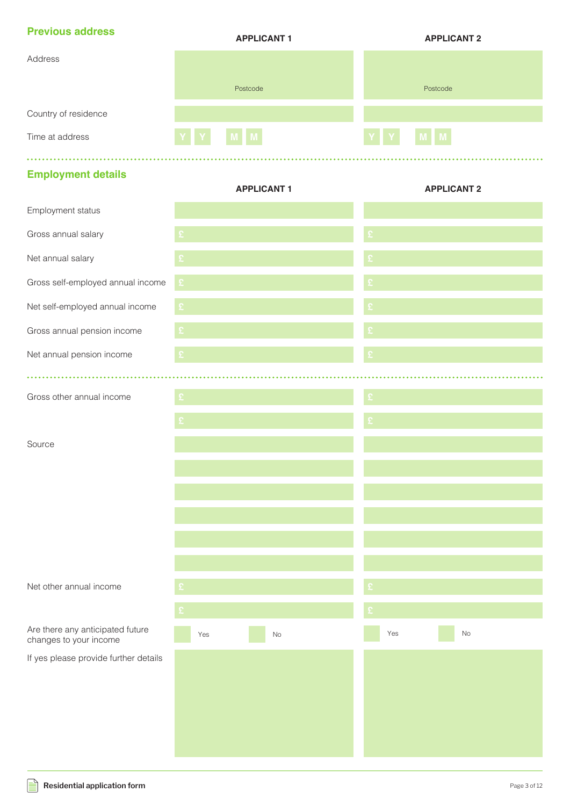| <b>Previous address</b> | <b>APPLICANT 1</b> | <b>APPLICANT 2</b> |
|-------------------------|--------------------|--------------------|
| Address                 |                    |                    |
|                         | Postcode           | Postcode           |
| Country of residence    |                    |                    |
| Time at address         | MM<br>YY           | YY<br>M M          |

## **Employment details**

|                                                            | <b>APPLICANT1</b>    | <b>APPLICANT 2</b> |
|------------------------------------------------------------|----------------------|--------------------|
| Employment status                                          |                      |                    |
| Gross annual salary                                        | ç                    |                    |
| Net annual salary                                          |                      |                    |
| Gross self-employed annual income                          | $\pmb{\mathfrak{L}}$ |                    |
| Net self-employed annual income                            | £                    |                    |
| Gross annual pension income                                |                      |                    |
| Net annual pension income                                  |                      | £                  |
|                                                            |                      |                    |
| Gross other annual income                                  |                      |                    |
|                                                            |                      |                    |
| Source                                                     |                      |                    |
|                                                            |                      |                    |
|                                                            |                      |                    |
|                                                            |                      |                    |
|                                                            |                      |                    |
|                                                            |                      |                    |
| Net other annual income                                    |                      |                    |
|                                                            |                      |                    |
| Are there any anticipated future<br>changes to your income | $\rm No$<br>Yes      | Yes<br>$\rm No$    |
| If yes please provide further details                      |                      |                    |
|                                                            |                      |                    |
|                                                            |                      |                    |
|                                                            |                      |                    |
|                                                            |                      |                    |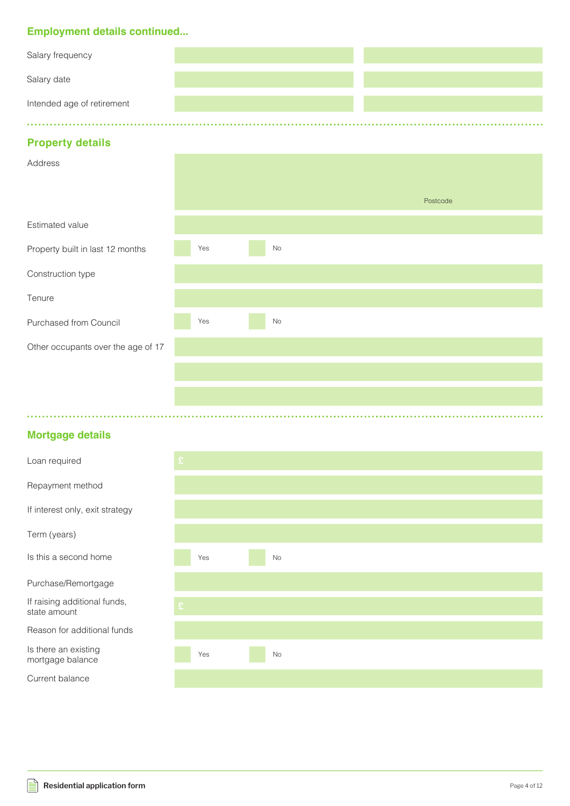### **Employment details continued...**

| Salary frequency           |  |
|----------------------------|--|
| Salary date                |  |
| Intended age of retirement |  |
|                            |  |

### **Property details**

| $\overline{\phantom{a}}$           |     |          |          |  |
|------------------------------------|-----|----------|----------|--|
| Address                            |     |          |          |  |
|                                    |     |          | Postcode |  |
| Estimated value                    |     |          |          |  |
| Property built in last 12 months   | Yes | $\rm No$ |          |  |
| Construction type                  |     |          |          |  |
| Tenure                             |     |          |          |  |
| Purchased from Council             | Yes | No       |          |  |
| Other occupants over the age of 17 |     |          |          |  |
|                                    |     |          |          |  |
|                                    |     |          |          |  |
|                                    |     |          |          |  |

### **Mortgage details**

| Loan required                                |     |           |
|----------------------------------------------|-----|-----------|
| Repayment method                             |     |           |
| If interest only, exit strategy              |     |           |
| Term (years)                                 |     |           |
| Is this a second home                        | Yes | <b>No</b> |
| Purchase/Remortgage                          |     |           |
| If raising additional funds,<br>state amount |     |           |
| Reason for additional funds                  |     |           |
| Is there an existing<br>mortgage balance     | Yes | No        |
| Current balance                              |     |           |

 $\mathbb{R}$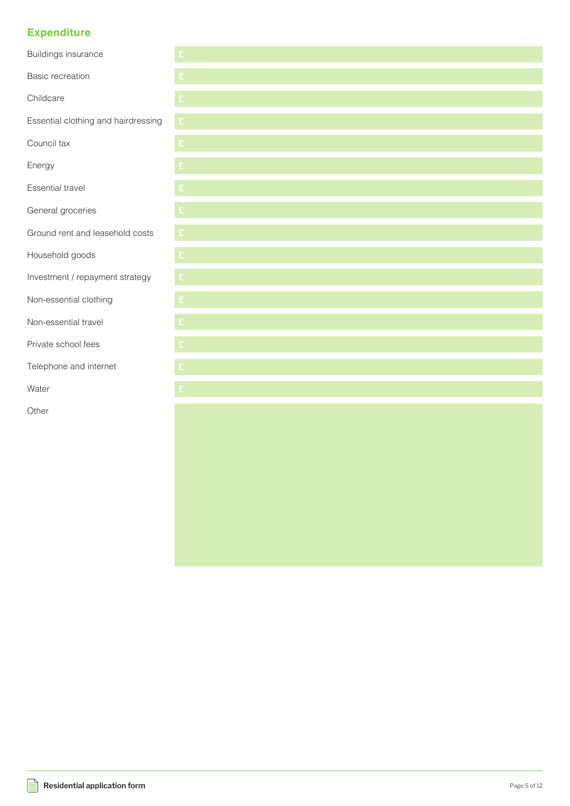### **Expenditure**

| <b>Buildings insurance</b>          | £                    |
|-------------------------------------|----------------------|
| <b>Basic recreation</b>             |                      |
| Childcare                           | £                    |
| Essential clothing and hairdressing | $\pmb{\mathfrak{L}}$ |
| Council tax                         | $\pmb{\mathfrak{L}}$ |
| Energy                              | £                    |
| <b>Essential travel</b>             | £                    |
| General groceries                   | £                    |
| Ground rent and leasehold costs     | £                    |
| Household goods                     | £                    |
| Investment / repayment strategy     | £                    |
| Non-essential clothing              | £                    |
| Non-essential travel                | £                    |
| Private school fees                 | £                    |
| Telephone and internet              | £                    |
| Water                               | £                    |
| Other                               |                      |
|                                     |                      |
|                                     |                      |
|                                     |                      |
|                                     |                      |
|                                     |                      |
|                                     |                      |
|                                     |                      |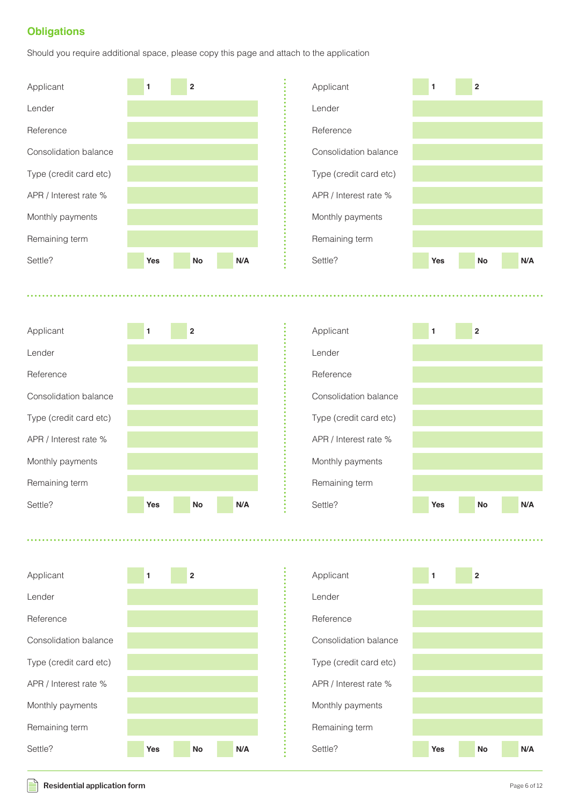### **Obligations**

Should you require additional space, please copy this page and attach to the application



. . . . . . . . . . .





 $222222$ 











#### **Residential application form Page 6 of 12**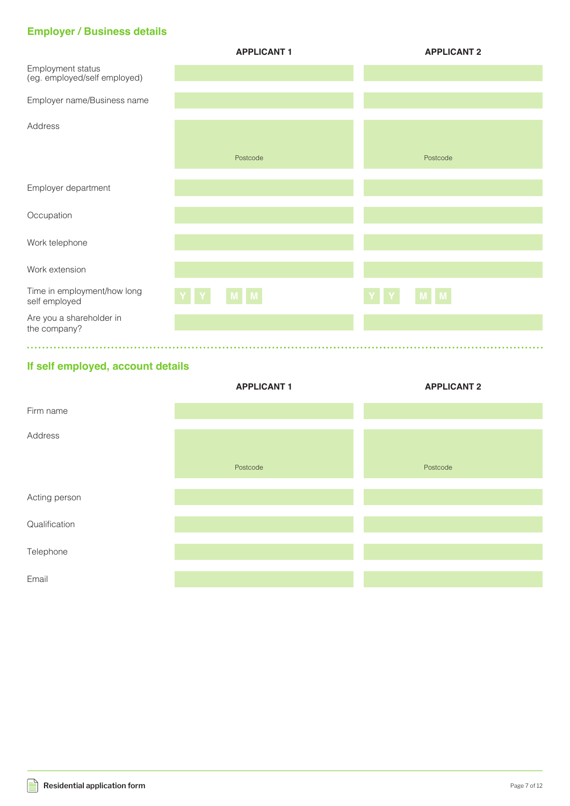## **Employer / Business details**

|                                                   | <b>APPLICANT1</b> | <b>APPLICANT 2</b>                  |
|---------------------------------------------------|-------------------|-------------------------------------|
| Employment status<br>(eg. employed/self employed) |                   |                                     |
| Employer name/Business name                       |                   |                                     |
| Address                                           |                   |                                     |
|                                                   | Postcode          | Postcode                            |
| Employer department                               |                   |                                     |
| Occupation                                        |                   |                                     |
| Work telephone                                    |                   |                                     |
| Work extension                                    |                   |                                     |
| Time in employment/how long<br>self employed      | MM                | M M<br>$\mathbf{Y}$<br>$\mathbf{Y}$ |
| Are you a shareholder in<br>the company?          |                   |                                     |
|                                                   |                   |                                     |

## **If self employed, account details**

|               | <b>APPLICANT1</b> | <b>APPLICANT 2</b> |
|---------------|-------------------|--------------------|
| Firm name     |                   |                    |
| Address       |                   |                    |
|               | Postcode          | Postcode           |
| Acting person |                   |                    |
| Qualification |                   |                    |
| Telephone     |                   |                    |
| Email         |                   |                    |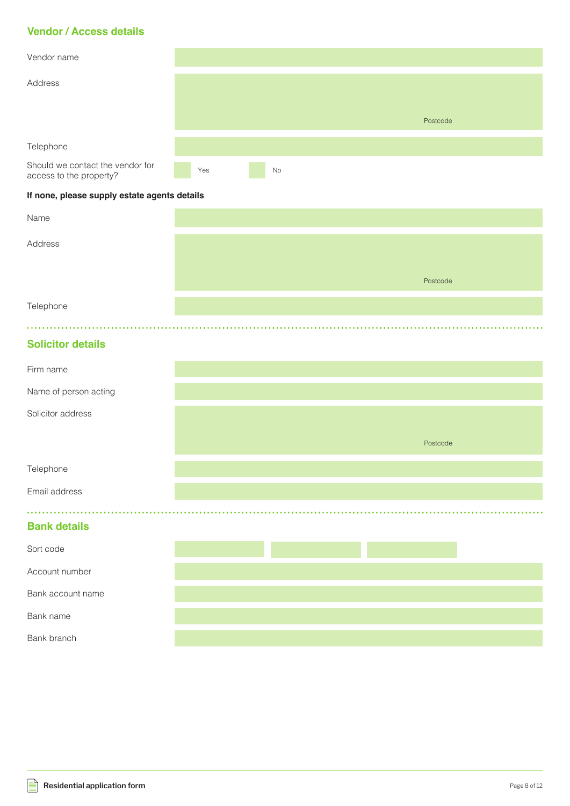### **Vendor / Access details**

| Vendor name                                                 |     |    |          |
|-------------------------------------------------------------|-----|----|----------|
| Address                                                     |     |    |          |
|                                                             |     |    |          |
|                                                             |     |    | Postcode |
| Telephone                                                   |     |    |          |
|                                                             |     |    |          |
| Should we contact the vendor for<br>access to the property? | Yes | No |          |

#### **If none, please supply estate agents details**

| Name      |          |
|-----------|----------|
| Address   |          |
|           |          |
|           | Postcode |
| Telephone |          |

### **Solicitor details**

| Firm name             |  |          |  |
|-----------------------|--|----------|--|
| Name of person acting |  |          |  |
| Solicitor address     |  |          |  |
|                       |  | Postcode |  |
| Telephone             |  |          |  |
| Email address         |  |          |  |
|                       |  |          |  |
| <b>Bank details</b>   |  |          |  |
| Sort code             |  |          |  |
| Account number        |  |          |  |
| Bank account name     |  |          |  |
| Bank name             |  |          |  |
| Bank branch           |  |          |  |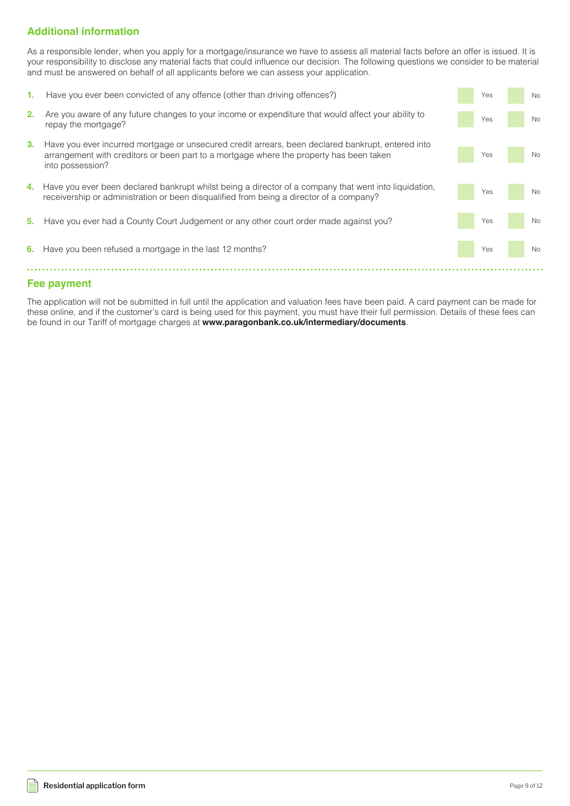### **Additional information**

As a responsible lender, when you apply for a mortgage/insurance we have to assess all material facts before an offer is issued. It is your responsibility to disclose any material facts that could influence our decision. The following questions we consider to be material and must be answered on behalf of all applicants before we can assess your application.

| 1. | Have you ever been convicted of any offence (other than driving offences?)                                                                                                                                       | Yes | <b>No</b> |
|----|------------------------------------------------------------------------------------------------------------------------------------------------------------------------------------------------------------------|-----|-----------|
| 2. | Are you aware of any future changes to your income or expenditure that would affect your ability to<br>repay the mortgage?                                                                                       | Yes | <b>No</b> |
| 3. | Have you ever incurred mortgage or unsecured credit arrears, been declared bankrupt, entered into<br>arrangement with creditors or been part to a mortgage where the property has been taken<br>into possession? | Yes | No        |
| 4. | Have you ever been declared bankrupt whilst being a director of a company that went into liquidation,<br>receivership or administration or been disqualified from being a director of a company?                 | Yes | <b>No</b> |
| 5. | Have you ever had a County Court Judgement or any other court order made against you?                                                                                                                            | Yes | <b>No</b> |
| 6. | Have you been refused a mortgage in the last 12 months?                                                                                                                                                          | Yes | <b>No</b> |

### **Fee payment**

The application will not be submitted in full until the application and valuation fees have been paid. A card payment can be made for these online, and if the customer's card is being used for this payment, you must have their full permission. Details of these fees can be found in our Tariff of mortgage charges at **www.paragonbank.co.uk/intermediary/documents**.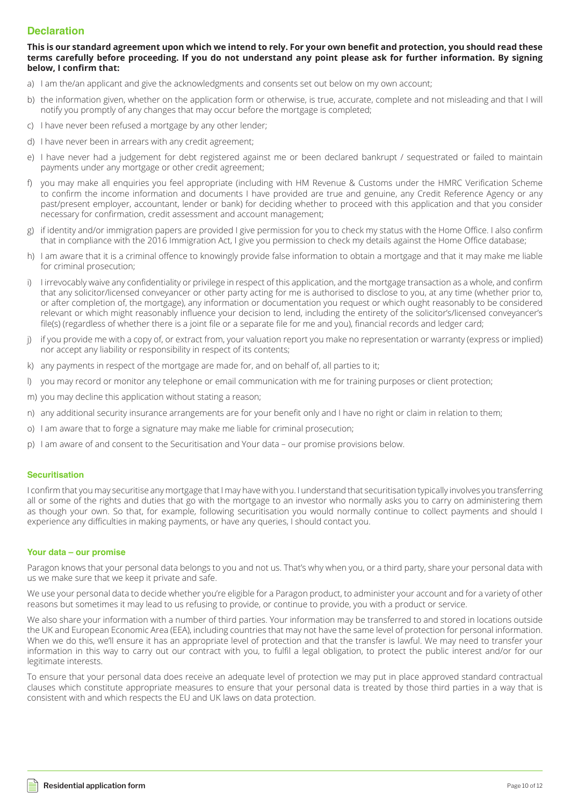#### **Declaration**

#### **This is our standard agreement upon which we intend to rely. For your own benefit and protection, you should read these terms carefully before proceeding. If you do not understand any point please ask for further information. By signing below, I confirm that:**

- a) I am the/an applicant and give the acknowledgments and consents set out below on my own account;
- b) the information given, whether on the application form or otherwise, is true, accurate, complete and not misleading and that I will notify you promptly of any changes that may occur before the mortgage is completed;
- c) I have never been refused a mortgage by any other lender;
- d) I have never been in arrears with any credit agreement;
- e) I have never had a judgement for debt registered against me or been declared bankrupt / sequestrated or failed to maintain payments under any mortgage or other credit agreement;
- f) you may make all enquiries you feel appropriate (including with HM Revenue & Customs under the HMRC Verification Scheme to confirm the income information and documents I have provided are true and genuine, any Credit Reference Agency or any past/present employer, accountant, lender or bank) for deciding whether to proceed with this application and that you consider necessary for confirmation, credit assessment and account management;
- g) if identity and/or immigration papers are provided I give permission for you to check my status with the Home Office. I also confirm that in compliance with the 2016 Immigration Act, I give you permission to check my details against the Home Office database;
- h) I am aware that it is a criminal offence to knowingly provide false information to obtain a mortgage and that it may make me liable for criminal prosecution;
- i) I irrevocably waive any confidentiality or privilege in respect of this application, and the mortgage transaction as a whole, and confirm that any solicitor/licensed conveyancer or other party acting for me is authorised to disclose to you, at any time (whether prior to, or after completion of, the mortgage), any information or documentation you request or which ought reasonably to be considered relevant or which might reasonably influence your decision to lend, including the entirety of the solicitor's/licensed conveyancer's file(s) (regardless of whether there is a joint file or a separate file for me and you), financial records and ledger card;
- j) if you provide me with a copy of, or extract from, your valuation report you make no representation or warranty (express or implied) nor accept any liability or responsibility in respect of its contents;
- k) any payments in respect of the mortgage are made for, and on behalf of, all parties to it;
- l) you may record or monitor any telephone or email communication with me for training purposes or client protection;
- m) you may decline this application without stating a reason;
- n) any additional security insurance arrangements are for your benefit only and I have no right or claim in relation to them;
- o) I am aware that to forge a signature may make me liable for criminal prosecution;
- p) I am aware of and consent to the Securitisation and Your data our promise provisions below.

#### **Securitisation**

I confirm that you may securitise any mortgage that I may have with you. I understand that securitisation typically involves you transferring all or some of the rights and duties that go with the mortgage to an investor who normally asks you to carry on administering them as though your own. So that, for example, following securitisation you would normally continue to collect payments and should I experience any difficulties in making payments, or have any queries, I should contact you.

#### **Your data – our promise**

Paragon knows that your personal data belongs to you and not us. That's why when you, or a third party, share your personal data with us we make sure that we keep it private and safe.

We use your personal data to decide whether you're eligible for a Paragon product, to administer your account and for a variety of other reasons but sometimes it may lead to us refusing to provide, or continue to provide, you with a product or service.

We also share your information with a number of third parties. Your information may be transferred to and stored in locations outside the UK and European Economic Area (EEA), including countries that may not have the same level of protection for personal information. When we do this, we'll ensure it has an appropriate level of protection and that the transfer is lawful. We may need to transfer your information in this way to carry out our contract with you, to fulfil a legal obligation, to protect the public interest and/or for our legitimate interests.

To ensure that your personal data does receive an adequate level of protection we may put in place approved standard contractual clauses which constitute appropriate measures to ensure that your personal data is treated by those third parties in a way that is consistent with and which respects the EU and UK laws on data protection.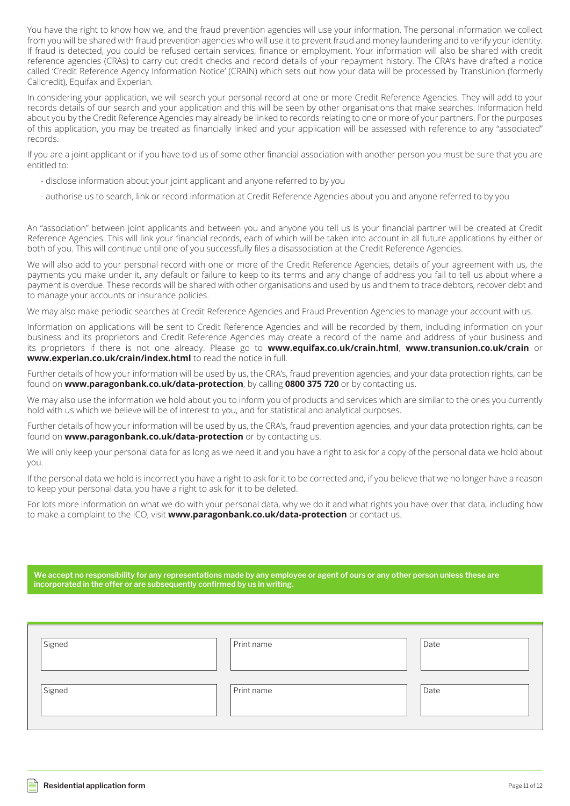You have the right to know how we, and the fraud prevention agencies will use your information. The personal information we collect from you will be shared with fraud prevention agencies who will use it to prevent fraud and money laundering and to verify your identity. If fraud is detected, you could be refused certain services, finance or employment. Your information will also be shared with credit reference agencies (CRAs) to carry out credit checks and record details of your repayment history. The CRA's have drafted a notice called 'Credit Reference Agency Information Notice' (CRAIN) which sets out how your data will be processed by TransUnion (formerly Callcredit), Equifax and Experian.

In considering your application, we will search your personal record at one or more Credit Reference Agencies. They will add to your records details of our search and your application and this will be seen by other organisations that make searches. Information held about you by the Credit Reference Agencies may already be linked to records relating to one or more of your partners. For the purposes of this application, you may be treated as financially linked and your application will be assessed with reference to any "associated" records.

If you are a joint applicant or if you have told us of some other financial association with another person you must be sure that you are entitled to:

- disclose information about your joint applicant and anyone referred to by you
- authorise us to search, link or record information at Credit Reference Agencies about you and anyone referred to by you

An "association" between joint applicants and between you and anyone you tell us is your financial partner will be created at Credit Reference Agencies. This will link your financial records, each of which will be taken into account in all future applications by either or both of you. This will continue until one of you successfully files a disassociation at the Credit Reference Agencies.

We will also add to your personal record with one or more of the Credit Reference Agencies, details of your agreement with us, the payments you make under it, any default or failure to keep to its terms and any change of address you fail to tell us about where a payment is overdue. These records will be shared with other organisations and used by us and them to trace debtors, recover debt and to manage your accounts or insurance policies.

We may also make periodic searches at Credit Reference Agencies and Fraud Prevention Agencies to manage your account with us.

Information on applications will be sent to Credit Reference Agencies and will be recorded by them, including information on your business and its proprietors and Credit Reference Agencies may create a record of the name and address of your business and its proprietors if there is not one already. Please go to **www.equifax.co.uk/crain.html**, **www.transunion.co.uk/crain** or **www.experian.co.uk/crain/index.html** to read the notice in full.

Further details of how your information will be used by us, the CRA's, fraud prevention agencies, and your data protection rights, can be found on **www.paragonbank.co.uk/data-protection**, by calling **0800 375 720** or by contacting us.

We may also use the information we hold about you to inform you of products and services which are similar to the ones you currently hold with us which we believe will be of interest to you, and for statistical and analytical purposes.

Further details of how your information will be used by us, the CRA's, fraud prevention agencies, and your data protection rights, can be found on **www.paragonbank.co.uk/data-protection** or by contacting us.

We will only keep your personal data for as long as we need it and you have a right to ask for a copy of the personal data we hold about you.

If the personal data we hold is incorrect you have a right to ask for it to be corrected and, if you believe that we no longer have a reason to keep your personal data, you have a right to ask for it to be deleted.

For lots more information on what we do with your personal data, why we do it and what rights you have over that data, including how to make a complaint to the ICO, visit **www.paragonbank.co.uk/data-protection** or contact us.

**We accept no responsibility for any representations made by any employee or agent of ours or any other person unless these are incorporated in the offer or are subsequently confirmed by us in writing.**

| Signed | Print name | Date |
|--------|------------|------|
| Signed | Print name | Date |